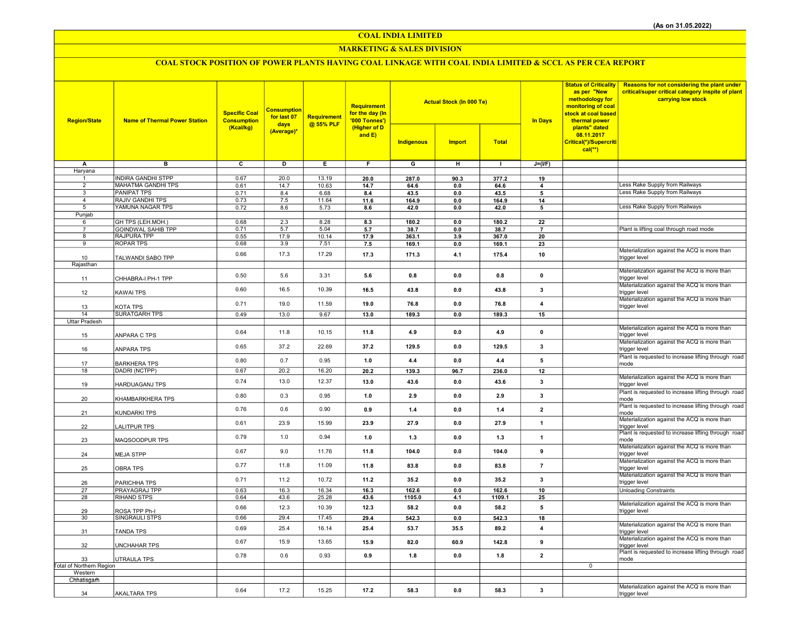COAL INDIA LIMITED

### MARKETING & SALES DIVISION

## COAL STOCK POSITION OF POWER PLANTS HAVING COAL LINKAGE WITH COAL INDIA LIMITED & SCCL AS PER CEA REPORT

| <b>Region/State</b>             | <b>Name of Thermal Power Station</b>        | <b>Specific Coal</b><br><b>Consumption</b><br>(Kcal/kg) | <b>Consumption</b><br>for last 07<br>days | Requirement<br>@ 55% PLF | Requirement<br>for the day (In<br>'000 Tonnes')<br>(Higher of D<br>and $E$ ) |                | <b>Actual Stock (In 000 Te)</b> |                | <b>In Days</b>          | <b>Status of Criticality</b><br>as per "New<br>methodology for<br>monitoring of coal<br>stock at coal based<br>thermal power<br>plants" dated<br>08.11.2017<br>Critical(*)/Supercriti<br>$cal$ (**) | Reasons for not considering the plant under<br>critical/super critical category inspite of plant<br>carrying low stock |
|---------------------------------|---------------------------------------------|---------------------------------------------------------|-------------------------------------------|--------------------------|------------------------------------------------------------------------------|----------------|---------------------------------|----------------|-------------------------|-----------------------------------------------------------------------------------------------------------------------------------------------------------------------------------------------------|------------------------------------------------------------------------------------------------------------------------|
|                                 |                                             |                                                         | (Average)*                                |                          |                                                                              | Indigenous     | <b>Import</b>                   | <b>Total</b>   |                         |                                                                                                                                                                                                     |                                                                                                                        |
| A                               | в                                           | c                                                       | D                                         | $\overline{E}$           | F.                                                                           | G              | н                               | $\mathbf{I}$   | $J=(VF)$                |                                                                                                                                                                                                     |                                                                                                                        |
| Haryana<br>1                    | <b>INDIRA GANDHI STPP</b>                   | 0.67                                                    | 20.0                                      | 13.19                    | 20.0                                                                         | 287.0          | 90.3                            | 377.2          | 19                      |                                                                                                                                                                                                     |                                                                                                                        |
| $\overline{2}$                  | <b>MAHATMA GANDHI TPS</b>                   | 0.61                                                    | 14.7                                      | 10.63                    | 14.7                                                                         | 64.6           | 0.0                             | 64.6           | $\overline{\mathbf{4}}$ |                                                                                                                                                                                                     | Less Rake Supply from Railways                                                                                         |
| 3                               | <b>PANIPAT TPS</b>                          | 0.71                                                    | 8.4                                       | 6.68                     | 8.4                                                                          | 43.5           | 0.0                             | 43.5           | 5                       |                                                                                                                                                                                                     | Less Rake Supply from Railways                                                                                         |
| $\overline{4}$<br>5             | <b>RAJIV GANDHI TPS</b><br>YAMUNA NAGAR TPS | 0.73<br>0.72                                            | 7.5<br>8.6                                | 11.64<br>5.73            | 11.6                                                                         | 164.9          | 0.0                             | 164.9          | 14                      |                                                                                                                                                                                                     | Less Rake Supply from Railways                                                                                         |
| Punjab                          |                                             |                                                         |                                           |                          | 8.6                                                                          | 42.0           | 0.0                             | 42.0           | 5                       |                                                                                                                                                                                                     |                                                                                                                        |
| 6                               | GH TPS (LEH.MOH.)                           | 0.68                                                    | 2.3                                       | 8.28                     | 8.3                                                                          | 180.2          | 0.0                             | 180.2          | 22                      |                                                                                                                                                                                                     |                                                                                                                        |
| $\overline{7}$                  | <b>GOINDWAL SAHIB TPP</b>                   | 0.71                                                    | 5.7                                       | 5.04                     | 5.7                                                                          | 38.7           | 0.0                             | 38.7           |                         |                                                                                                                                                                                                     | Plant is lifting coal through road mode                                                                                |
| 8<br>9                          | <b>RAJPURA TPP</b><br>ROPAR TPS             | 0.55<br>0.68                                            | 17.9<br>3.9                               | 10.14<br>7.51            | 17.9<br>7.5                                                                  | 363.1<br>169.1 | 3.9<br>0.0                      | 367.0<br>169.1 | 20<br>23                |                                                                                                                                                                                                     |                                                                                                                        |
|                                 |                                             |                                                         | 17.3                                      | 17.29                    |                                                                              |                |                                 |                |                         |                                                                                                                                                                                                     | Materialization against the ACQ is more than                                                                           |
| 10                              | TALWANDI SABO TPP                           | 0.66                                                    |                                           |                          | 17.3                                                                         | 171.3          | 4.1                             | 175.4          | 10                      |                                                                                                                                                                                                     | trigger level                                                                                                          |
| Rajasthan                       |                                             |                                                         |                                           |                          |                                                                              |                |                                 |                |                         |                                                                                                                                                                                                     | Materialization against the ACQ is more than                                                                           |
| 11                              | CHHABRA-I PH-1 TPP                          | 0.50                                                    | 5.6                                       | 3.31                     | 5.6                                                                          | 0.8            | 0.0                             | 0.8            | $\pmb{0}$               |                                                                                                                                                                                                     | trigger level                                                                                                          |
| 12                              | KAWAI TPS                                   | 0.60                                                    | 16.5                                      | 10.39                    | 16.5                                                                         | 43.8           | 0.0                             | 43.8           | 3                       |                                                                                                                                                                                                     | Materialization against the ACQ is more than<br>trigger level                                                          |
| 13                              | KOTA TPS                                    | 0.71                                                    | 19.0                                      | 11.59                    | 19.0                                                                         | 76.8           | 0.0                             | 76.8           | $\overline{\mathbf{4}}$ |                                                                                                                                                                                                     | Materialization against the ACQ is more than<br>trigger level                                                          |
| 14                              | <b>SURATGARH TPS</b>                        | 0.49                                                    | 13.0                                      | 9.67                     | 13.0                                                                         | 189.3          | 0.0                             | 189.3          | 15                      |                                                                                                                                                                                                     |                                                                                                                        |
| <b>Uttar Pradesh</b>            |                                             |                                                         |                                           |                          |                                                                              |                |                                 |                |                         |                                                                                                                                                                                                     |                                                                                                                        |
| 15                              | ANPARA C TPS                                | 0.64                                                    | 11.8                                      | 10.15                    | 11.8                                                                         | 4.9            | 0.0                             | 4.9            | $\pmb{0}$               |                                                                                                                                                                                                     | Materialization against the ACQ is more than<br>trigger level                                                          |
| 16                              | ANPARA TPS                                  | 0.65                                                    | 37.2                                      | 22.69                    | 37.2                                                                         | 129.5          | 0.0                             | 129.5          | 3                       |                                                                                                                                                                                                     | Materialization against the ACQ is more than<br>trigger level                                                          |
| 17                              | <b>BARKHERA TPS</b>                         | 0.80                                                    | 0.7                                       | 0.95                     | 1.0                                                                          | 4.4            | 0.0                             | 4.4            | 5                       |                                                                                                                                                                                                     | Plant is requested to increase lifting through road<br>mode                                                            |
| 18                              | DADRI (NCTPP)                               | 0.67                                                    | 20.2                                      | 16.20                    | 20.2                                                                         | 139.3          | 96.7                            | 236.0          | 12                      |                                                                                                                                                                                                     |                                                                                                                        |
| 19                              | HARDUAGANJ TPS                              | 0.74                                                    | 13.0                                      | 12.37                    | 13.0                                                                         | 43.6           | 0.0                             | 43.6           | 3                       |                                                                                                                                                                                                     | Materialization against the ACQ is more than<br>trigger level                                                          |
| 20                              | KHAMBARKHERA TPS                            | 0.80                                                    | 0.3                                       | 0.95                     | 1.0                                                                          | 2.9            | 0.0                             | 2.9            | $\mathbf{3}$            |                                                                                                                                                                                                     | Plant is requested to increase lifting through road<br>mode                                                            |
| 21                              | KUNDARKI TPS                                | 0.76                                                    | 0.6                                       | 0.90                     | 0.9                                                                          | 1.4            | 0.0                             | 1.4            | $\overline{2}$          |                                                                                                                                                                                                     | Plant is requested to increase lifting through road<br>mode<br>Materialization against the ACQ is more than            |
| 22                              | LALITPUR TPS                                | 0.61                                                    | 23.9                                      | 15.99                    | 23.9                                                                         | 27.9           | 0.0                             | 27.9           | $\mathbf{1}$            |                                                                                                                                                                                                     | trigger level<br>Plant is requested to increase lifting through road                                                   |
| 23                              | MAQSOODPUR TPS                              | 0.79                                                    | 1.0                                       | 0.94                     | 1.0                                                                          | 1.3            | 0.0                             | 1.3            | $\mathbf{1}$            |                                                                                                                                                                                                     | mode<br>Materialization against the ACQ is more than                                                                   |
| 24                              | <b>MEJA STPP</b>                            | 0.67                                                    | 9.0                                       | 11.76                    | 11.8                                                                         | 104.0          | 0.0                             | 104.0          | 9                       |                                                                                                                                                                                                     | trigger level<br>Materialization against the ACQ is more than                                                          |
| 25                              | <b>OBRA TPS</b>                             | 0.77                                                    | 11.8                                      | 11.09                    | 11.8                                                                         | 83.8           | 0.0                             | 83.8           | $\bf 7$                 |                                                                                                                                                                                                     | trigger level<br>Materialization against the ACQ is more than                                                          |
| 26                              | PARICHHA TPS                                | 0.71                                                    | 11.2                                      | 10.72                    | 11.2                                                                         | 35.2           | 0.0                             | 35.2           | 3                       |                                                                                                                                                                                                     | trigger level                                                                                                          |
| 27                              | PRAYAGRAJ TPP                               | 0.63                                                    | 16.3                                      | 16.34                    | 16.3                                                                         | 162.6          | 0.0                             | 162.6          | 10                      |                                                                                                                                                                                                     | <b>Unloading Constraints</b>                                                                                           |
| 28                              | <b>RIHAND STPS</b>                          | 0.64                                                    | 43.6                                      | 25.28                    | 43.6                                                                         | 1105.0         | 4.1                             | 1109.1         | 25                      |                                                                                                                                                                                                     | Materialization against the ACQ is more than                                                                           |
| 29                              | ROSA TPP Ph-I                               | 0.66                                                    | 12.3                                      | 10.39                    | 12.3                                                                         | 58.2           | 0.0                             | 58.2           | 5                       |                                                                                                                                                                                                     | trigger level                                                                                                          |
| 30                              | SINGRAULI STPS                              | 0.66                                                    | 29.4                                      | 17.45                    | 29.4                                                                         | 542.3          | 0.0                             | 542.3          | 18                      |                                                                                                                                                                                                     |                                                                                                                        |
| 31                              | <b>TANDA TPS</b>                            | 0.69                                                    | 25.4                                      | 16.14                    | 25.4                                                                         | 53.7           | 35.5                            | 89.2           | $\overline{\mathbf{4}}$ |                                                                                                                                                                                                     | Materialization against the ACQ is more than<br>trigger level                                                          |
| 32                              | <b>UNCHAHAR TPS</b>                         | 0.67                                                    | 15.9                                      | 13.65                    | 15.9                                                                         | 82.0           | 60.9                            | 142.8          | 9                       |                                                                                                                                                                                                     | Materialization against the ACQ is more than<br>trigger level<br>Plant is requested to increase lifting through road   |
| 33                              | UTRAULA TPS                                 | 0.78                                                    | 0.6                                       | 0.93                     | 0.9                                                                          | 1.8            | 0.0                             | 1.8            | $\mathbf 2$             |                                                                                                                                                                                                     | mode                                                                                                                   |
| <b>Total of Northern Region</b> |                                             |                                                         |                                           |                          |                                                                              |                |                                 |                |                         | $\mathbf 0$                                                                                                                                                                                         |                                                                                                                        |
| Western<br>Chhatisgarh          |                                             |                                                         |                                           |                          |                                                                              |                |                                 |                |                         |                                                                                                                                                                                                     |                                                                                                                        |
|                                 |                                             | 0.64                                                    | 17.2                                      | 15.25                    | 17.2                                                                         | 58.3           |                                 |                | 3                       |                                                                                                                                                                                                     | Materialization against the ACQ is more than                                                                           |
| 34                              | <b>AKALTARA TPS</b>                         |                                                         |                                           |                          |                                                                              |                | 0.0                             | 58.3           |                         |                                                                                                                                                                                                     | trigger level                                                                                                          |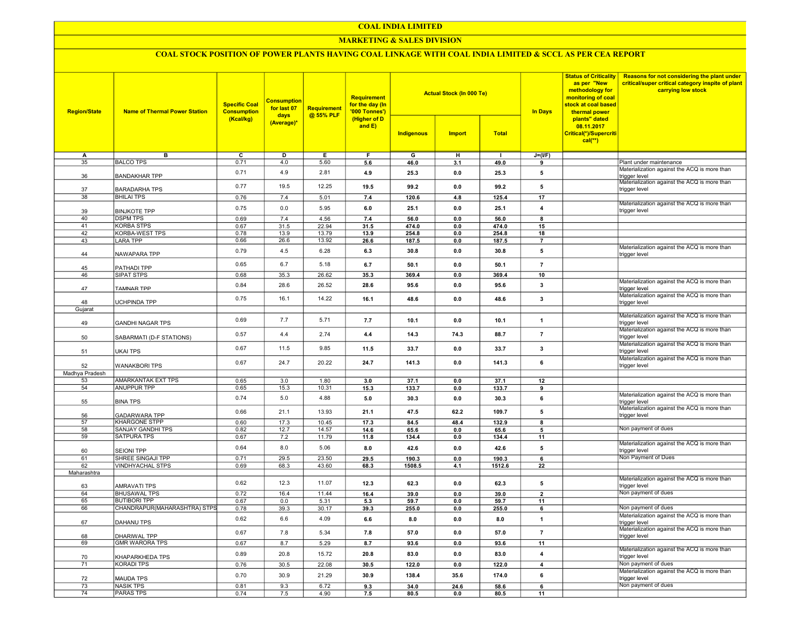#### COAL INDIA LIMITED

### **MARKETING & SALES DIVISION**

# COAL STOCK POSITION OF POWER PLANTS HAVING COAL LINKAGE WITH COAL INDIA LIMITED & SCCL AS PER CEA REPORT

| <b>Region/State</b> | <b>Name of Thermal Power Station</b>                | <b>Specific Coal</b><br><b>Consumption</b> | <b>Consumption</b><br>for last 07<br>days | Requirement<br>@ 55% PLF | <b>Requirement</b><br>for the day (In<br>'000 Tonnes') |               | <b>Actual Stock (In 000 Te)</b> |                | <b>Status of Criticality</b><br>as per "New<br>methodology for<br>monitoring of coal<br>stock at coal based<br><b>In Days</b><br>thermal power | Reasons for not considering the plant under<br>critical/super critical category inspite of plant<br>carrying low stock |                                                                                                               |
|---------------------|-----------------------------------------------------|--------------------------------------------|-------------------------------------------|--------------------------|--------------------------------------------------------|---------------|---------------------------------|----------------|------------------------------------------------------------------------------------------------------------------------------------------------|------------------------------------------------------------------------------------------------------------------------|---------------------------------------------------------------------------------------------------------------|
|                     |                                                     | (Kcal/kg)                                  | (Average)*                                |                          | (Higher of D<br>and E)                                 | Indigenous    | <b>Import</b>                   | <b>Total</b>   |                                                                                                                                                | plants" dated<br>08.11.2017<br>Critical(*)/Supercriti<br>$cal(**)$                                                     |                                                                                                               |
| A                   | в                                                   | C                                          | D                                         | Е                        | F                                                      | G             | н                               |                | $J=(VF)$                                                                                                                                       |                                                                                                                        |                                                                                                               |
| 35                  | <b>BALCO TPS</b>                                    | 0.71                                       | 4.0                                       | 5.60                     | 5.6                                                    | 46.0          | 3.1                             | 49.0           | 9                                                                                                                                              |                                                                                                                        | Plant under maintenance                                                                                       |
| 36                  | <b>BANDAKHAR TPP</b>                                | 0.71                                       | 4.9                                       | 2.81                     | 4.9                                                    | 25.3          | 0.0                             | 25.3           | 5                                                                                                                                              |                                                                                                                        | Materialization against the ACQ is more than<br>trigger level<br>Materialization against the ACQ is more than |
| 37                  | <b>BARADARHA TPS</b>                                | 0.77                                       | 19.5                                      | 12.25                    | 19.5                                                   | 99.2          | 0.0                             | 99.2           | 5                                                                                                                                              |                                                                                                                        | trigger level                                                                                                 |
| $\overline{38}$     | <b>BHILAI TPS</b>                                   | 0.76                                       | 7.4                                       | 5.01                     | 7.4                                                    | 120.6         | 4.8                             | 125.4          | 17                                                                                                                                             |                                                                                                                        | Materialization against the ACQ is more than                                                                  |
| 39<br>40            | <b>BINJKOTE TPP</b><br><b>DSPM TPS</b>              | 0.75                                       | 0.0                                       | 5.95                     | 6.0                                                    | 25.1          | 0.0                             | 25.1           | $\pmb{4}$<br>8                                                                                                                                 |                                                                                                                        | trigger level                                                                                                 |
| 41                  | <b>KORBA STPS</b>                                   | 0.69<br>0.67                               | 7.4<br>31.5                               | 4.56<br>22.94            | 7.4<br>31.5                                            | 56.0<br>474.0 | 0.0<br>0.0                      | 56.0<br>474.0  | 15                                                                                                                                             |                                                                                                                        |                                                                                                               |
| 42                  | <b>KORBA-WEST TPS</b>                               | 0.78                                       | 13.9                                      | 13.79                    | 13.9                                                   | 254.8         | 0.0                             | 254.8          | 18                                                                                                                                             |                                                                                                                        |                                                                                                               |
| 43                  | <b>LARA TPP</b>                                     | 0.66                                       | 26.6                                      | 13.92                    | 26.6                                                   | 187.5         | 0.0                             | 187.5          | $\overline{7}$                                                                                                                                 |                                                                                                                        |                                                                                                               |
| 44                  | NAWAPARA TPP                                        | 0.79                                       | 4.5                                       | 6.28                     | 6.3                                                    | 30.8          | 0.0                             | 30.8           | 5                                                                                                                                              |                                                                                                                        | Materialization against the ACQ is more than<br>trigger level                                                 |
| 45                  | PATHADI TPP                                         | 0.65                                       | 6.7                                       | 5.18                     | 6.7                                                    | 50.1          | 0.0                             | 50.1           | $\overline{7}$                                                                                                                                 |                                                                                                                        |                                                                                                               |
| 46                  | <b>SIPAT STPS</b>                                   | 0.68                                       | 35.3                                      | 26.62                    | 35.3                                                   | 369.4         | 0.0                             | 369.4          | 10                                                                                                                                             |                                                                                                                        |                                                                                                               |
| 47                  | <b>TAMNAR TPP</b>                                   | 0.84                                       | 28.6                                      | 26.52                    | 28.6                                                   | 95.6          | 0.0                             | 95.6           | 3                                                                                                                                              |                                                                                                                        | Materialization against the ACQ is more than<br>trigger level                                                 |
| 48                  | <b>JCHPINDA TPP</b>                                 | 0.75                                       | 16.1                                      | 14.22                    | 16.1                                                   | 48.6          | 0.0                             | 48.6           | 3                                                                                                                                              |                                                                                                                        | Materialization against the ACQ is more than<br>trigger level                                                 |
| Gujarat             |                                                     |                                            |                                           |                          |                                                        |               |                                 |                |                                                                                                                                                |                                                                                                                        |                                                                                                               |
| 49                  | <b>GANDHI NAGAR TPS</b>                             | 0.69                                       | 7.7                                       | 5.71                     | 7.7                                                    | 10.1          | 0.0                             | 10.1           | $\mathbf{1}$                                                                                                                                   |                                                                                                                        | Materialization against the ACQ is more than<br>trigger level                                                 |
| 50                  | SABARMATI (D-F STATIONS)                            | 0.57                                       | 4.4                                       | 2.74                     | 4.4                                                    | 14.3          | 74.3                            | 88.7           | $\overline{7}$                                                                                                                                 |                                                                                                                        | Materialization against the ACQ is more than<br>trigger level                                                 |
| 51                  | UKAI TPS                                            | 0.67                                       | 11.5                                      | 9.85                     | 11.5                                                   | 33.7          | 0.0                             | 33.7           | 3                                                                                                                                              |                                                                                                                        | Materialization against the ACQ is more than<br>trigger level                                                 |
| 52                  | <b>WANAKBORI TPS</b>                                | 0.67                                       | 24.7                                      | 20.22                    | 24.7                                                   | 141.3         | 0.0                             | 141.3          | 6                                                                                                                                              |                                                                                                                        | Materialization against the ACQ is more than<br>trigger level                                                 |
| Madhya Pradesh      |                                                     |                                            |                                           |                          |                                                        |               |                                 |                |                                                                                                                                                |                                                                                                                        |                                                                                                               |
| 53                  | AMARKANTAK EXT TPS                                  | 0.65                                       | 3.0                                       | 1.80                     | 3.0                                                    | 37.1          | 0.0                             | 37.1           | 12                                                                                                                                             |                                                                                                                        |                                                                                                               |
| 54                  | ANUPPUR TPP                                         | 0.65                                       | 15.3                                      | 10.31                    | 15.3                                                   | 133.7         | 0.0                             | 133.7          | 9                                                                                                                                              |                                                                                                                        | Materialization against the ACQ is more than                                                                  |
| 55                  | <b>BINA TPS</b>                                     | 0.74                                       | 5.0                                       | 4.88                     | 5.0                                                    | 30.3          | 0.0                             | 30.3           | 6                                                                                                                                              |                                                                                                                        | trigger level<br>Materialization against the ACQ is more than                                                 |
| 56<br>57            | <b>GADARWARA TPP</b><br><b>KHARGONE STPP</b>        | 0.66<br>0.60                               | 21.1<br>17.3                              | 13.93<br>10.45           | 21.1<br>17.3                                           | 47.5<br>84.5  | 62.2<br>48.4                    | 109.7<br>132.9 | 5<br>8                                                                                                                                         |                                                                                                                        | trigger level                                                                                                 |
| 58                  | <b>SANJAY GANDHI TPS</b>                            | 0.82                                       | 12.7                                      | 14.57                    | 14.6                                                   | 65.6          | 0.0                             | 65.6           | 5                                                                                                                                              |                                                                                                                        | Non payment of dues                                                                                           |
| 59                  | <b>SATPURA TPS</b>                                  | 0.67                                       | 7.2                                       | 11.79                    | 11.8                                                   | 134.4         | 0.0                             | 134.4          | 11                                                                                                                                             |                                                                                                                        |                                                                                                               |
| 60                  | <b>SEIONI TPP</b>                                   | 0.64                                       | 8.0                                       | 5.06                     | 8.0                                                    | 42.6          | 0.0                             | 42.6           | 5                                                                                                                                              |                                                                                                                        | Materialization against the ACQ is more than<br>trigger level                                                 |
| 61                  | SHREE SINGAJI TPP                                   | 0.71                                       | 29.5                                      | 23.50                    | 29.5                                                   | 190.3         | 0.0                             | 190.3          | 6                                                                                                                                              |                                                                                                                        | Non Payment of Dues                                                                                           |
| 62                  | <b>VINDHYACHAL STPS</b>                             | 0.69                                       | 68.3                                      | 43.60                    | 68.3                                                   | 1508.5        | 4.1                             | 1512.6         | 22                                                                                                                                             |                                                                                                                        |                                                                                                               |
| Maharashtra         |                                                     | 0.62                                       | 12.3                                      | 11.07                    | 12.3                                                   | 62.3          | 0.0                             | 62.3           | 5                                                                                                                                              |                                                                                                                        | Materialization against the ACQ is more than                                                                  |
| 63                  | AMRAVATI TPS                                        |                                            |                                           |                          |                                                        |               |                                 |                |                                                                                                                                                |                                                                                                                        | trigger level<br>Non payment of dues                                                                          |
| 64                  | <b>BHUSAWAL TPS</b>                                 | 0.72                                       | 16.4                                      | 11.44                    | 16.4                                                   | 39.0          | 0.0                             | 39.0           | $\overline{\mathbf{2}}$                                                                                                                        |                                                                                                                        |                                                                                                               |
| 65<br>66            | <b>BUTIBORI TPP</b><br>CHANDRAPUR(MAHARASHTRA) STPS | 0.67<br>0.78                               | 0.0<br>39.3                               | 5.31<br>30.17            | 5.3<br>39.3                                            | 59.7<br>255.0 | 0.0<br>0.0                      | 59.7<br>255.0  | 11<br>6                                                                                                                                        |                                                                                                                        | Non payment of dues                                                                                           |
|                     |                                                     |                                            |                                           |                          |                                                        |               |                                 |                |                                                                                                                                                |                                                                                                                        | Materialization against the ACQ is more than                                                                  |
| 67                  | DAHANU TPS                                          | 0.62                                       | 6.6                                       | 4.09                     | 6.6                                                    | 8.0           | 0.0                             | 8.0            | $\mathbf{1}$                                                                                                                                   |                                                                                                                        | trigger level<br>Materialization against the ACQ is more than                                                 |
| 68                  | DHARIWAL TPP                                        | 0.67<br>0.67                               | 7.8<br>8.7                                | 5.34<br>5.29             | 7.8                                                    | 57.0          | 0.0                             | 57.0           | $\overline{7}$                                                                                                                                 |                                                                                                                        | trigger level                                                                                                 |
| 69                  | <b>GMR WARORA TPS</b>                               | 0.89                                       | 20.8                                      | 15.72                    | 8.7<br>20.8                                            | 93.6<br>83.0  | 0.0<br>0.0                      | 93.6<br>83.0   | 11<br>$\overline{4}$                                                                                                                           |                                                                                                                        | Materialization against the ACQ is more than                                                                  |
| 70<br>71            | KHAPARKHEDA TPS<br><b>KORADI TPS</b>                | 0.76                                       | 30.5                                      | 22.08                    | 30.5                                                   | 122.0         | 0.0                             | 122.0          | $\overline{4}$                                                                                                                                 |                                                                                                                        | trigger level<br>Non payment of dues                                                                          |
|                     |                                                     | 0.70                                       | 30.9                                      | 21.29                    | 30.9                                                   | 138.4         | 35.6                            | 174.0          | 6                                                                                                                                              |                                                                                                                        | Materialization against the ACQ is more than                                                                  |
| 72<br>73            | <b>MAUDA TPS</b><br><b>NASIK TPS</b>                | 0.81                                       | 9.3                                       | 6.72                     | 9.3                                                    | 34.0          | 24.6                            | 58.6           | $\overline{6}$                                                                                                                                 |                                                                                                                        | trigger level<br>Non payment of dues                                                                          |
| 74                  | <b>PARAS TPS</b>                                    | 0.74                                       | 7.5                                       | 4.90                     | 7.5                                                    | 80.5          | 0.0                             | 80.5           | 11                                                                                                                                             |                                                                                                                        |                                                                                                               |
|                     |                                                     |                                            |                                           |                          |                                                        |               |                                 |                |                                                                                                                                                |                                                                                                                        |                                                                                                               |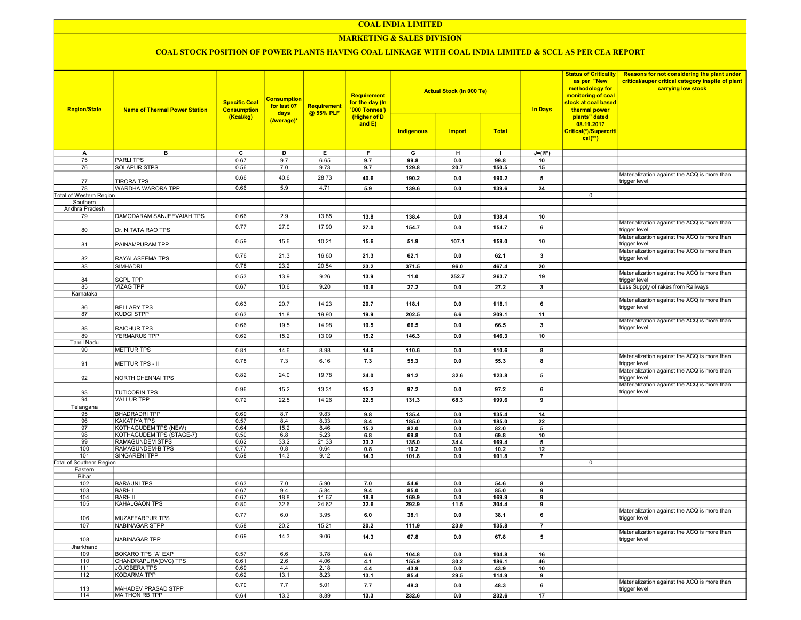## COAL INDIA LIMITED

## MARKETING & SALES DIVISION

# COAL STOCK POSITION OF POWER PLANTS HAVING COAL LINKAGE WITH COAL INDIA LIMITED & SCCL AS PER CEA REPORT

| <b>Region/State</b>             | <b>Name of Thermal Power Station</b>         | <b>Specific Coal</b><br><b>Consumption</b><br>(Kcal/kg) | <b>Consumption</b><br>for last 07<br>days<br>(Average)* | <b>Requirement</b><br>@ 55% PLF | <b>Requirement</b><br>for the day (In<br>'000 Tonnes')<br>(Higher of D<br>and $E$ ) | Indigenous     | <b>Actual Stock (In 000 Te)</b><br><b>Import</b> | <b>Total</b>         | <b>In Days</b>          | <b>Status of Criticality</b><br>as per "New<br>methodology for<br>monitoring of coal<br>stock at coal based<br>thermal power<br>plants" dated<br>08.11.2017<br>Critical(*)/Supercriti | Reasons for not considering the plant under<br>critical/super critical category inspite of plant<br>carrying low stock |
|---------------------------------|----------------------------------------------|---------------------------------------------------------|---------------------------------------------------------|---------------------------------|-------------------------------------------------------------------------------------|----------------|--------------------------------------------------|----------------------|-------------------------|---------------------------------------------------------------------------------------------------------------------------------------------------------------------------------------|------------------------------------------------------------------------------------------------------------------------|
|                                 |                                              |                                                         |                                                         |                                 |                                                                                     |                |                                                  |                      |                         | $cal**$                                                                                                                                                                               |                                                                                                                        |
|                                 |                                              |                                                         |                                                         |                                 |                                                                                     |                |                                                  |                      |                         |                                                                                                                                                                                       |                                                                                                                        |
| Α<br>75                         | в<br><b>PARLITPS</b>                         | C<br>0.67                                               | D<br>9.7                                                | Е.<br>6.65                      | F.<br>9.7                                                                           | G<br>99.8      | н<br>0.0                                         | $\mathbf{L}$<br>99.8 | $J=(VF)$<br>10          |                                                                                                                                                                                       |                                                                                                                        |
| 76                              | SOLAPUR STPS                                 | 0.56                                                    | 7.0                                                     | 9.73                            | 9.7                                                                                 | 129.8          | 20.7                                             | 150.5                | 15                      |                                                                                                                                                                                       |                                                                                                                        |
|                                 |                                              |                                                         |                                                         |                                 |                                                                                     |                |                                                  |                      |                         |                                                                                                                                                                                       | Materialization against the ACQ is more than                                                                           |
| 77                              | <b>TIRORA TPS</b>                            | 0.66                                                    | 40.6                                                    | 28.73                           | 40.6                                                                                | 190.2          | 0.0                                              | 190.2                | 5                       |                                                                                                                                                                                       | trigger level                                                                                                          |
| 78                              | <b>WARDHA WARORA TPP</b>                     | 0.66                                                    | 5.9                                                     | 4.71                            | 5.9                                                                                 | 139.6          | 0.0                                              | 139.6                | 24                      |                                                                                                                                                                                       |                                                                                                                        |
| Total of Western Region         |                                              |                                                         |                                                         |                                 |                                                                                     |                |                                                  |                      |                         | 0                                                                                                                                                                                     |                                                                                                                        |
| Southern                        |                                              |                                                         |                                                         |                                 |                                                                                     |                |                                                  |                      |                         |                                                                                                                                                                                       |                                                                                                                        |
| Andhra Pradesh                  |                                              |                                                         |                                                         |                                 |                                                                                     |                |                                                  |                      |                         |                                                                                                                                                                                       |                                                                                                                        |
| 79                              | DAMODARAM SANJEEVAIAH TPS                    | 0.66                                                    | 2.9                                                     | 13.85                           | 13.8                                                                                | 138.4          | 0.0                                              | 138.4                | 10                      |                                                                                                                                                                                       |                                                                                                                        |
| 80                              | Dr. N.TATA RAO TPS                           | 0.77                                                    | 27.0                                                    | 17.90                           | 27.0                                                                                | 154.7          | 0.0                                              | 154.7                | 6                       |                                                                                                                                                                                       | Materialization against the ACQ is more than<br>trigger level                                                          |
| 81                              | PAINAMPURAM TPP                              | 0.59                                                    | 15.6                                                    | 10.21                           | 15.6                                                                                | 51.9           | 107.1                                            | 159.0                | 10                      |                                                                                                                                                                                       | Materialization against the ACQ is more than<br>trigger level                                                          |
| 82                              | RAYALASEEMA TPS                              | 0.76                                                    | 21.3                                                    | 16.60                           | 21.3                                                                                | 62.1           | 0.0                                              | 62.1                 | $\mathbf{3}$            |                                                                                                                                                                                       | Materialization against the ACQ is more than<br>trigger level                                                          |
| 83                              | SIMHADRI                                     | 0.78                                                    | 23.2                                                    | 20.54                           | 23.2                                                                                | 371.5          | 96.0                                             | 467.4                | 20                      |                                                                                                                                                                                       |                                                                                                                        |
|                                 |                                              |                                                         |                                                         |                                 |                                                                                     |                |                                                  |                      |                         |                                                                                                                                                                                       | Materialization against the ACQ is more than                                                                           |
| 84                              | <b>SGPL TPP</b>                              | 0.53                                                    | 13.9                                                    | 9.26                            | 13.9                                                                                | 11.0           | 252.7                                            | 263.7                | 19                      |                                                                                                                                                                                       | trigger level                                                                                                          |
| 85                              | <b>VIZAG TPP</b>                             | 0.67                                                    | 10.6                                                    | 9.20                            | 10.6                                                                                | 27.2           | 0.0                                              | 27.2                 | $\mathbf{3}$            |                                                                                                                                                                                       | Less Supply of rakes from Railways                                                                                     |
| Karnataka                       |                                              |                                                         |                                                         |                                 |                                                                                     |                |                                                  |                      |                         |                                                                                                                                                                                       |                                                                                                                        |
| 86                              | <b>BELLARY TPS</b>                           | 0.63                                                    | 20.7                                                    | 14.23                           | 20.7                                                                                | 118.1          | 0.0                                              | 118.1                | 6                       |                                                                                                                                                                                       | Materialization against the ACQ is more than<br>trigger level                                                          |
| 87                              | <b>KUDGI STPP</b>                            | 0.63                                                    | 11.8                                                    | 19.90                           | 19.9                                                                                | 202.5          | 6.6                                              | 209.1                | 11                      |                                                                                                                                                                                       |                                                                                                                        |
|                                 |                                              | 0.66                                                    | 19.5                                                    | 14.98                           | 19.5                                                                                | 66.5           | 0.0                                              | 66.5                 | $\overline{\mathbf{3}}$ |                                                                                                                                                                                       | Materialization against the ACQ is more than<br>trigger level                                                          |
| 88                              | <b>RAICHUR TPS</b><br><b>YERMARUS TPP</b>    |                                                         |                                                         |                                 |                                                                                     |                |                                                  |                      |                         |                                                                                                                                                                                       |                                                                                                                        |
| 89<br>Tamil Nadu                |                                              | 0.62                                                    | 15.2                                                    | 13.09                           | 15.2                                                                                | 146.3          | 0.0                                              | 146.3                | 10                      |                                                                                                                                                                                       |                                                                                                                        |
| 90                              | <b>METTUR TPS</b>                            | 0.81                                                    | 14.6                                                    | 8.98                            | 14.6                                                                                | 110.6          | 0.0                                              | 110.6                | 8                       |                                                                                                                                                                                       |                                                                                                                        |
|                                 |                                              |                                                         |                                                         |                                 |                                                                                     |                |                                                  |                      |                         |                                                                                                                                                                                       | Materialization against the ACQ is more than                                                                           |
| 91                              | METTUR TPS - II                              | 0.78                                                    | 7.3                                                     | 6.16                            | 7.3                                                                                 | 55.3           | 0.0                                              | 55.3                 | 8                       |                                                                                                                                                                                       | trigger level<br>Materialization against the ACQ is more than                                                          |
| 92                              | NORTH CHENNAI TPS                            | 0.82                                                    | 24.0                                                    | 19.78                           | 24.0                                                                                | 91.2           | 32.6                                             | 123.8                | 5                       |                                                                                                                                                                                       | trigger level<br>Materialization against the ACQ is more than                                                          |
| 93                              | <b>TUTICORIN TPS</b>                         | 0.96                                                    | 15.2                                                    | 13.31                           | 15.2                                                                                | 97.2           | 0.0                                              | 97.2                 | 6                       |                                                                                                                                                                                       | trigger level                                                                                                          |
| 94                              | <b>VALLUR TPP</b>                            | 0.72                                                    | 22.5                                                    | 14.26                           | 22.5                                                                                | 131.3          | 68.3                                             | 199.6                | 9                       |                                                                                                                                                                                       |                                                                                                                        |
| Telangana                       |                                              | 0.69                                                    |                                                         | 9.83                            |                                                                                     |                |                                                  |                      |                         |                                                                                                                                                                                       |                                                                                                                        |
| 95<br>96                        | <b>BHADRADRI TPP</b><br><b>KAKATIYA TPS</b>  | 0.57                                                    | 8.7<br>8.4                                              | 8.33                            | 9.8<br>8.4                                                                          | 135.4<br>185.0 | 0.0<br>0.0                                       | 135.4<br>185.0       | 14<br>22                |                                                                                                                                                                                       |                                                                                                                        |
| 97                              | KOTHAGUDEM TPS (NEW)                         | 0.64                                                    | 15.2                                                    | 8.46                            | 15.2                                                                                | 82.0           | 0.0                                              | 82.0                 | 5                       |                                                                                                                                                                                       |                                                                                                                        |
| 98                              | KOTHAGUDEM TPS (STAGE-7)                     | 0.50                                                    | 6.8                                                     | 5.23                            | 6.8                                                                                 | 69.8           | 0.0                                              | 69.8                 | 10                      |                                                                                                                                                                                       |                                                                                                                        |
| 99                              | RAMAGUNDEM STPS                              | 0.62                                                    | 33.2                                                    | 21.33                           | 33.2                                                                                | 135.0          | 34.4                                             | 169.4                | 5                       |                                                                                                                                                                                       |                                                                                                                        |
| 100                             | <b>RAMAGUNDEM-B TPS</b>                      | 0.77                                                    | 0.8                                                     | 0.64                            | 0.8                                                                                 | 10.2           | 0.0                                              | 10.2                 | 12                      |                                                                                                                                                                                       |                                                                                                                        |
| 101                             | SINGARENI TPP                                | 0.58                                                    | 14.3                                                    | 9.12                            | 14.3                                                                                | 101.8          | 0.0                                              | 101.8                | $\overline{7}$          |                                                                                                                                                                                       |                                                                                                                        |
| <b>Total of Southern Region</b> |                                              |                                                         |                                                         |                                 |                                                                                     |                |                                                  |                      |                         | 0                                                                                                                                                                                     |                                                                                                                        |
| Eastern                         |                                              |                                                         |                                                         |                                 |                                                                                     |                |                                                  |                      |                         |                                                                                                                                                                                       |                                                                                                                        |
| Bihar                           |                                              |                                                         |                                                         |                                 |                                                                                     |                |                                                  |                      |                         |                                                                                                                                                                                       |                                                                                                                        |
| 102<br>103                      | <b>BARAUNI TPS</b><br><b>BARH I</b>          | 0.63<br>0.67                                            | 7.0<br>9.4                                              | 5.90<br>5.84                    | 7.0<br>9.4                                                                          | 54.6<br>85.0   | 0.0<br>0.0                                       | 54.6<br>85.0         | 8<br>9                  |                                                                                                                                                                                       |                                                                                                                        |
| 104                             | <b>BARH II</b>                               | 0.67                                                    | 18.8                                                    | 11.67                           | 18.8                                                                                | 169.9          | 0.0                                              | 169.9                | 9                       |                                                                                                                                                                                       |                                                                                                                        |
| 105                             | KAHALGAON TPS                                | 0.80                                                    | 32.6                                                    | 24.62                           | 32.6                                                                                | 292.9          | 11.5                                             | 304.4                | 9                       |                                                                                                                                                                                       |                                                                                                                        |
|                                 |                                              |                                                         |                                                         |                                 |                                                                                     |                |                                                  |                      |                         |                                                                                                                                                                                       | Materialization against the ACQ is more than                                                                           |
| 106<br>107                      | <b>MUZAFFARPUR TPS</b><br>NABINAGAR STPP     | 0.77<br>0.58                                            | 6.0<br>20.2                                             | 3.95<br>15.21                   | 6.0<br>20.2                                                                         | 38.1<br>111.9  | 0.0<br>23.9                                      | 38.1<br>135.8        | 6<br>$\overline{7}$     |                                                                                                                                                                                       | trigger level                                                                                                          |
|                                 |                                              |                                                         |                                                         |                                 |                                                                                     |                |                                                  |                      |                         |                                                                                                                                                                                       | Materialization against the ACQ is more than                                                                           |
| 108                             | NABINAGAR TPP                                | 0.69                                                    | 14.3                                                    | 9.06                            | 14.3                                                                                | 67.8           | 0.0                                              | 67.8                 | 5                       |                                                                                                                                                                                       | trigger level                                                                                                          |
| Jharkhand                       |                                              |                                                         |                                                         |                                 |                                                                                     |                |                                                  |                      |                         |                                                                                                                                                                                       |                                                                                                                        |
| 109                             | BOKARO TPS 'A' EXP                           | 0.57                                                    | 6.6                                                     | 3.78                            | 6.6                                                                                 | 104.8          | 0.0                                              | 104.8                | 16                      |                                                                                                                                                                                       |                                                                                                                        |
| 110                             | CHANDRAPURA(DVC) TPS                         | 0.61                                                    | 2.6<br>4.4                                              | 4.06                            | 4.1                                                                                 | 155.9          | 30.2                                             | 186.1                | 46                      |                                                                                                                                                                                       |                                                                                                                        |
| 111<br>112                      | JOJOBERA TPS<br><b>KODARMA TPP</b>           | 0.69<br>0.62                                            | 13.1                                                    | 2.18<br>8.23                    | 4.4                                                                                 | 43.9           | 0.0                                              | 43.9                 | 10<br>9                 |                                                                                                                                                                                       |                                                                                                                        |
|                                 |                                              |                                                         |                                                         |                                 | 13.1                                                                                | 85.4           | 29.5                                             | 114.9                |                         |                                                                                                                                                                                       | Materialization against the ACQ is more than                                                                           |
| 113                             | MAHADEV PRASAD STPP<br><b>MAITHON RB TPP</b> | 0.70                                                    | 7.7<br>13.3                                             | 5.01                            | 7.7                                                                                 | 48.3           | 0.0                                              | 48.3                 | 6                       |                                                                                                                                                                                       | trigger level                                                                                                          |
| 114                             |                                              | 0.64                                                    |                                                         | 8.89                            | 13.3                                                                                | 232.6          | 0.0                                              | 232.6                | 17                      |                                                                                                                                                                                       |                                                                                                                        |